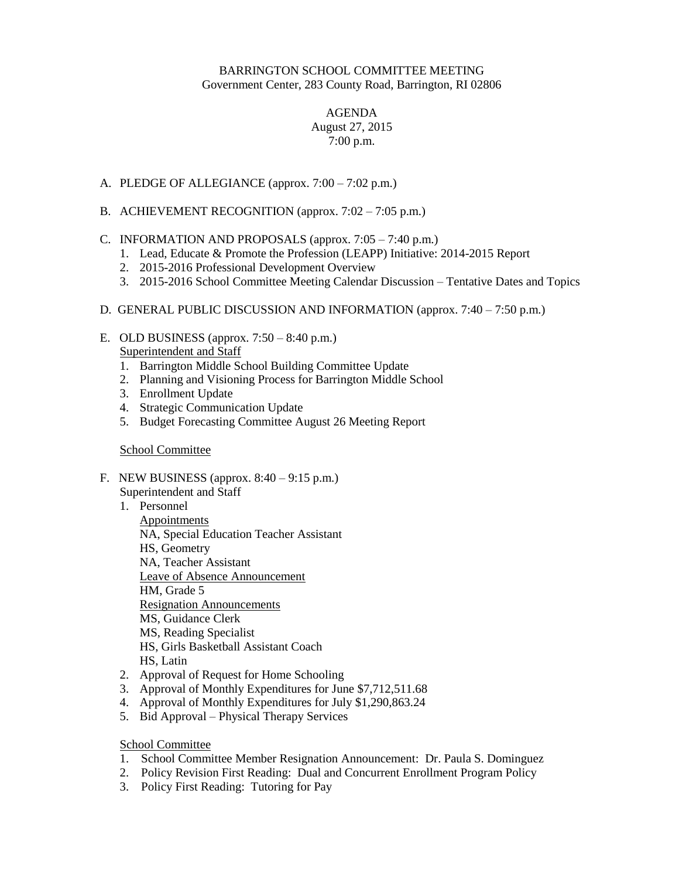## BARRINGTON SCHOOL COMMITTEE MEETING Government Center, 283 County Road, Barrington, RI 02806

## AGENDA August 27, 2015 7:00 p.m.

- A. PLEDGE OF ALLEGIANCE (approx. 7:00 7:02 p.m.)
- B. ACHIEVEMENT RECOGNITION (approx. 7:02 7:05 p.m.)

## C. INFORMATION AND PROPOSALS (approx.  $7:05 - 7:40$  p.m.)

- 1. Lead, Educate & Promote the Profession (LEAPP) Initiative: 2014-2015 Report
- 2. 2015-2016 Professional Development Overview
- 3. 2015-2016 School Committee Meeting Calendar Discussion Tentative Dates and Topics
- D. GENERAL PUBLIC DISCUSSION AND INFORMATION (approx. 7:40 7:50 p.m.)
- E. OLD BUSINESS (approx.  $7:50 8:40$  p.m.) Superintendent and Staff
	- 1. Barrington Middle School Building Committee Update
	- 2. Planning and Visioning Process for Barrington Middle School
	- 3. Enrollment Update
	- 4. Strategic Communication Update
	- 5. Budget Forecasting Committee August 26 Meeting Report

## School Committee

- F. NEW BUSINESS (approx.  $8:40 9:15$  p.m.)
	- Superintendent and Staff
	- 1. Personnel Appointments NA, Special Education Teacher Assistant HS, Geometry NA, Teacher Assistant Leave of Absence Announcement HM, Grade 5 Resignation Announcements MS, Guidance Clerk MS, Reading Specialist HS, Girls Basketball Assistant Coach HS, Latin
	- 2. Approval of Request for Home Schooling
	- 3. Approval of Monthly Expenditures for June \$7,712,511.68
	- 4. Approval of Monthly Expenditures for July \$1,290,863.24
	- 5. Bid Approval Physical Therapy Services

School Committee

- 1. School Committee Member Resignation Announcement: Dr. Paula S. Dominguez
- 2. Policy Revision First Reading: Dual and Concurrent Enrollment Program Policy
- 3. Policy First Reading: Tutoring for Pay